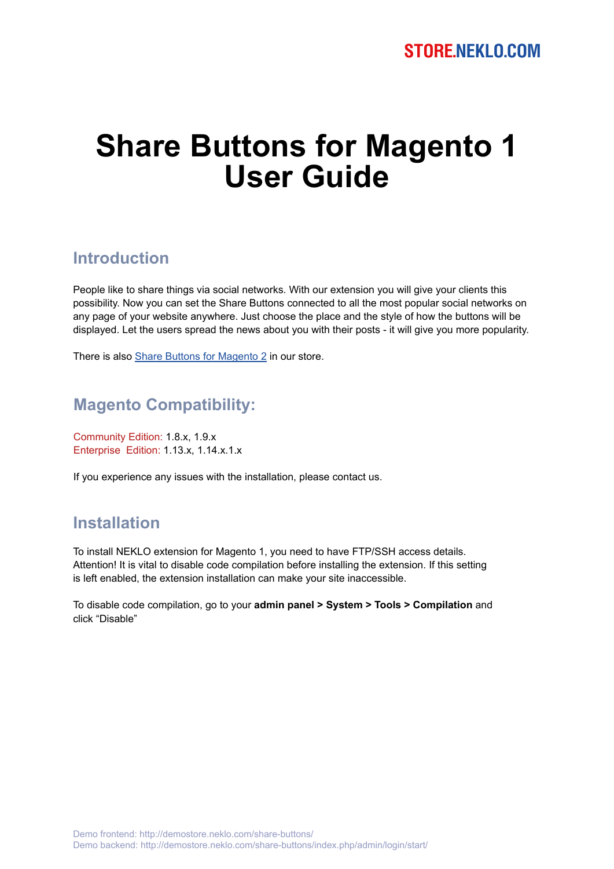# **Share Buttons for Magento 1 User Guide**

#### **Introduction**

People like to share things via social networks. With our extension you will give your clients this possibility. Now you can set the Share Buttons connected to all the most popular social networks on any page of your website anywhere. Just choose the place and the style of how the buttons will be displayed. Let the users spread the news about you with their posts - it will give you more popularity.

There is also [Share Buttons for Magento 2](https://store.neklo.com/share-buttons-widget-extension-for-magento2.html) in our store.

### **Magento Compatibility:**

Community Edition: 1.8.x, 1.9.x Enterprise Edition: 1.13.x, 1.14.x.1.x

If you experience any issues with the installation, please contact us.

#### **Installation**

To install NEKLO extension for Magento 1, you need to have FTP/SSH access details. Attention! It is vital to disable code compilation before installing the extension. If this setting is left enabled, the extension installation can make your site inaccessible.

To disable code compilation, go to your **admin panel > System > Tools > Compilation** and click "Disable"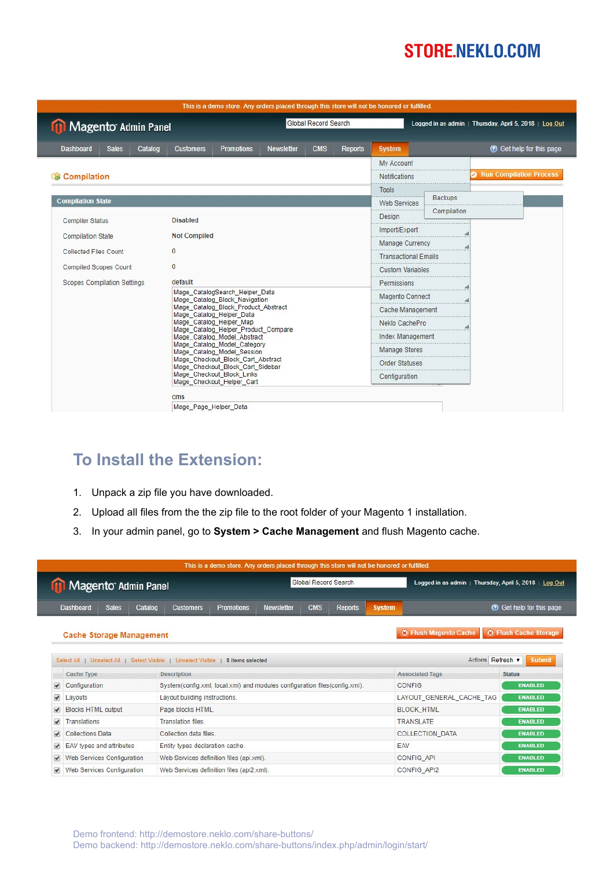|                                             | This is a demo store. Any orders placed through this store will not be honored or fulfilled. |                   |            |                        |                                                        |                                |  |  |  |
|---------------------------------------------|----------------------------------------------------------------------------------------------|-------------------|------------|------------------------|--------------------------------------------------------|--------------------------------|--|--|--|
| Global Record Search<br>Magento Admin Panel |                                                                                              |                   |            |                        | Logged in as admin   Thursday, April 5, 2018   Log Out |                                |  |  |  |
| <b>Dashboard</b><br><b>Sales</b><br>Catalog | <b>Promotions</b><br><b>Customers</b>                                                        | <b>Newsletter</b> | <b>CMS</b> | Reports                | <b>System</b>                                          | C Get help for this page       |  |  |  |
|                                             |                                                                                              |                   |            |                        | <b>My Account</b>                                      |                                |  |  |  |
| Compilation                                 |                                                                                              |                   |            |                        |                                                        | <b>Run Compilation Process</b> |  |  |  |
|                                             |                                                                                              |                   |            |                        | Tools                                                  |                                |  |  |  |
| <b>Compilation State</b>                    |                                                                                              |                   |            |                        | <b>Web Services</b>                                    | <b>Backups</b>                 |  |  |  |
| <b>Compiler Status</b>                      | <b>Disabled</b>                                                                              |                   |            |                        | Design                                                 | Compilation                    |  |  |  |
|                                             | <b>Not Compiled</b>                                                                          |                   |            |                        | Import/Export                                          |                                |  |  |  |
| <b>Compilation State</b>                    |                                                                                              |                   |            |                        | Manage Currency                                        |                                |  |  |  |
| Collected Files Count                       | $\bf{0}$                                                                                     |                   |            |                        | <b>Transactional Emails</b>                            |                                |  |  |  |
| <b>Compiled Scopes Count</b>                | $\bf{0}$                                                                                     |                   |            |                        | <b>Custom Variables</b>                                |                                |  |  |  |
| <b>Scopes Compilation Settings</b>          | default                                                                                      |                   |            | Permissions            |                                                        |                                |  |  |  |
|                                             | Mage CatalogSearch Helper Data<br>Mage_Catalog_Block_Navigation                              |                   |            | <b>Magento Connect</b> |                                                        |                                |  |  |  |
|                                             | Mage_Catalog_Block_Product_Abstract                                                          |                   |            | Cache Management       |                                                        |                                |  |  |  |
|                                             | Mage Catalog Helper Data<br>Mage_Catalog_Helper_Map                                          |                   |            | Neklo CachePro         |                                                        |                                |  |  |  |
|                                             | Mage Catalog Helper Product Compare<br>Mage_Catalog_Model_Abstract                           |                   |            | Index Management       |                                                        |                                |  |  |  |
|                                             | Mage Catalog Model Category                                                                  |                   |            |                        | Manage Stores                                          |                                |  |  |  |
|                                             | Mage_Catalog_Model_Session<br>Mage_Checkout_Block_Cart_Abstract<br><b>Order Statuses</b>     |                   |            |                        |                                                        |                                |  |  |  |
|                                             | Mage_Checkout_Block_Cart_Sidebar<br>Mage Checkout Block Links                                |                   |            | Configuration          |                                                        |                                |  |  |  |
|                                             | Mage Checkout Helper Cart                                                                    |                   |            |                        |                                                        |                                |  |  |  |
|                                             | $\mathsf{cm}\mathsf{s}$                                                                      |                   |            |                        |                                                        |                                |  |  |  |
|                                             | Mage_Page_Helper_Data                                                                        |                   |            |                        |                                                        |                                |  |  |  |

## **To Install the Extension:**

- 1. Unpack a zip file you have downloaded.
- 2. Upload all files from the the zip file to the root folder of your Magento 1 installation.
- 3. In your admin panel, go to **System > Cache Management** and flush Magento cache.

|                         | Magento Admin Panel             |                         |                                                                            |                   |                   | Global Record Search |                |                        | Logged in as admin   Thursday, April 5, 2018   Log Out |                              |
|-------------------------|---------------------------------|-------------------------|----------------------------------------------------------------------------|-------------------|-------------------|----------------------|----------------|------------------------|--------------------------------------------------------|------------------------------|
|                         | <b>Dashboard</b>                | Catalog<br><b>Sales</b> | <b>Customers</b>                                                           | <b>Promotions</b> | <b>Newsletter</b> | <b>CMS</b>           | <b>Reports</b> | <b>System</b>          |                                                        | Co Get help for this page    |
|                         | <b>Cache Storage Management</b> |                         |                                                                            |                   |                   |                      |                |                        | <b>3 Flush Magento Cache</b>                           | <b>O Flush Cache Storage</b> |
|                         |                                 |                         | Select All   Unselect All   Select Visible   Unselect Visible              | 8 items selected  |                   |                      |                |                        | Actions Refresh v                                      | <b>Submit</b>                |
|                         | Cache Type                      |                         | <b>Description</b>                                                         |                   |                   |                      |                | <b>Associated Tags</b> | <b>Status</b>                                          |                              |
|                         | Configuration                   |                         | System(config.xml, local.xml) and modules configuration files(config.xml). |                   |                   |                      |                |                        | <b>CONFIG</b>                                          | <b>ENABLED</b>               |
| $\overline{\mathbf{v}}$ |                                 |                         | Layout building instructions.                                              |                   |                   |                      |                |                        |                                                        |                              |
| ⊽                       | Layouts                         |                         |                                                                            |                   |                   |                      |                |                        | LAYOUT_GENERAL_CACHE_TAG                               | <b>ENABLED</b>               |
| V                       | <b>Blocks HTML output</b>       |                         | Page blocks HTML.                                                          |                   |                   |                      |                |                        | <b>BLOCK HTML</b>                                      | <b>ENABLED</b>               |
| ✔                       | Translations                    |                         | <b>Translation files.</b>                                                  |                   |                   |                      |                |                        | <b>TRANSLATE</b>                                       | <b>ENABLED</b>               |
| $\overline{\mathbf{v}}$ | <b>Collections Data</b>         |                         | Collection data files.                                                     |                   |                   |                      |                |                        | <b>COLLECTION DATA</b>                                 | <b>ENABLED</b>               |
| $\overline{\mathbf{v}}$ | EAV types and attributes        |                         | Entity types declaration cache.                                            |                   |                   |                      |                |                        | EAV                                                    | <b>ENABLED</b>               |
| V                       | Web Services Configuration      |                         | Web Services definition files (api.xml).                                   |                   |                   |                      |                |                        | CONFIG API                                             | <b>ENABLED</b>               |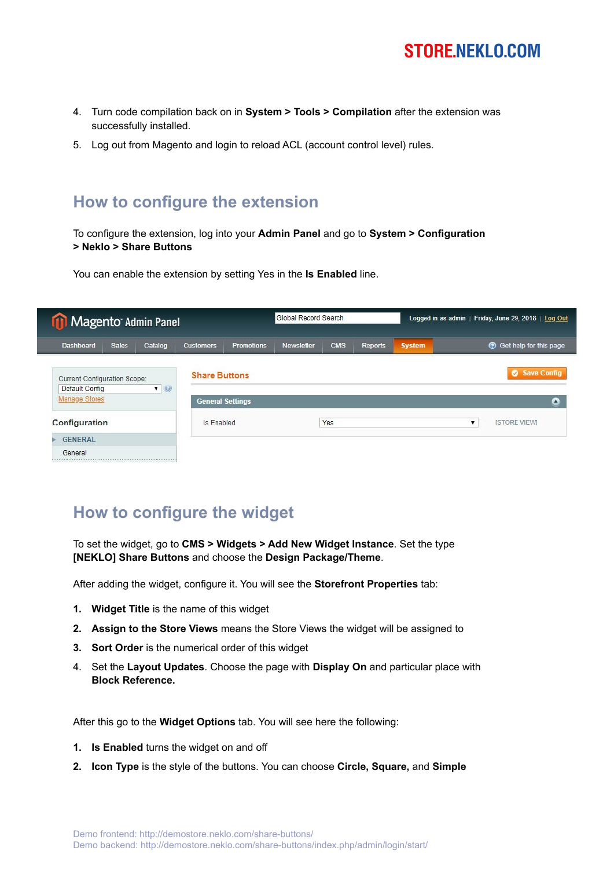

- 4. Turn code compilation back on in **System > Tools > Compilation** after the extension was successfully installed.
- 5. Log out from Magento and login to reload ACL (account control level) rules.

#### **How to configure the extension**

To configure the extension, log into your **Admin Panel** and go to **System > Configuration > Neklo > Share Buttons** 

You can enable the extension by setting Yes in the **Is Enabled** line.

| <b>11 Magento Admin Panel</b>                         |              |                |                      |                         | Global Record Search |            |                |               | Logged in as admin   Friday, June 29, 2018   Log Out |
|-------------------------------------------------------|--------------|----------------|----------------------|-------------------------|----------------------|------------|----------------|---------------|------------------------------------------------------|
| <b>Dashboard</b>                                      | <b>Sales</b> | Catalog        | <b>Customers</b>     | <b>Promotions</b>       | <b>Newsletter</b>    | <b>CMS</b> | <b>Reports</b> | <b>System</b> | <b>O</b> Get help for this page                      |
| <b>Current Configuration Scope:</b><br>Default Config |              | $\blacksquare$ | <b>Share Buttons</b> |                         |                      |            |                |               | Save Config                                          |
| <b>Manage Stores</b>                                  |              |                |                      | <b>General Settings</b> |                      |            |                |               | ٥                                                    |
| Configuration                                         |              |                | Is Enabled           |                         |                      | Yes        |                |               | <b>ISTORE VIEW</b>                                   |
| <b>GENERAL</b>                                        |              |                |                      |                         |                      |            |                |               |                                                      |
| General                                               |              |                |                      |                         |                      |            |                |               |                                                      |

#### **How to configure the widget**

To set the widget, go to **CMS > Widgets > Add New Widget Instance**. Set the type **[NEKLO] Share Buttons** and choose the **Design Package/Theme**.

After adding the widget, configure it. You will see the **Storefront Properties** tab:

- **1. Widget Title** is the name of this widget
- **2. Assign to the Store Views** means the Store Views the widget will be assigned to
- **3. Sort Order** is the numerical order of this widget
- 4. Set the **Layout Updates**. Choose the page with **Display On** and particular place with **Block Reference.**

After this go to the **Widget Options** tab. You will see here the following:

- **1. Is Enabled** turns the widget on and off
- **2. Icon Type** is the style of the buttons. You can choose **Circle, Square,** and **Simple**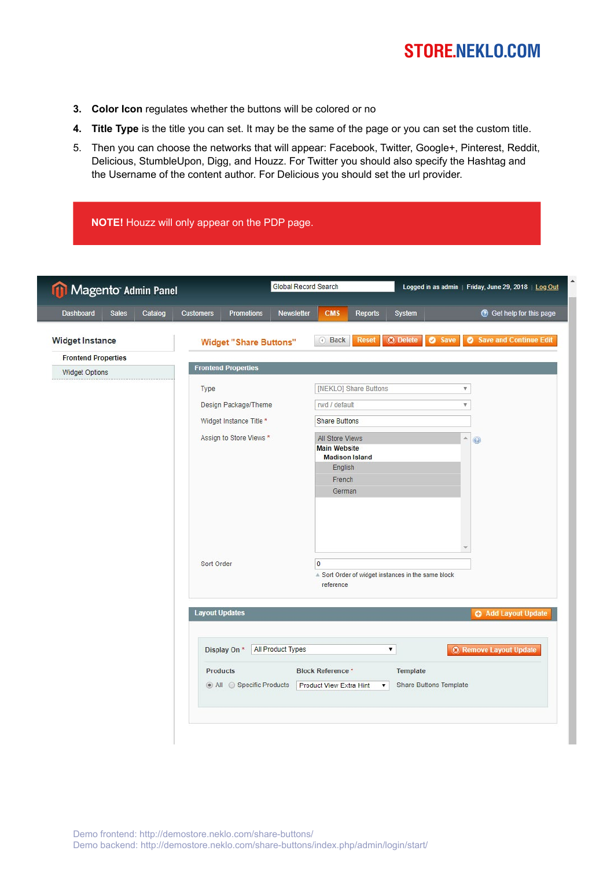- **3. Color Icon** regulates whether the buttons will be colored or no
- **4. Title Type** is the title you can set. It may be the same of the page or you can set the custom title.
- 5. Then you can choose the networks that will appear: Facebook, Twitter, Google+, Pinterest, Reddit, Delicious, StumbleUpon, Digg, and Houzz. For Twitter you should also specify the Hashtag and the Username of the content author. For Delicious you should set the url provider.

**NOTE!** Houzz will only appear on the PDP page.

| Newsletter<br><b>CMS</b><br>Reports<br><b>Reset</b><br>4 Back<br>[NEKLO] Share Buttons<br>rwd / default<br><b>Share Buttons</b><br>All Store Views<br><b>Main Website</b><br><b>Madison Island</b><br>English<br>French<br>German | System<br><b>O</b> Delete<br><b>O</b> Save                                       | C Get help for this page<br><b>Save and Continue Edit</b><br>$\bullet$<br>$\boldsymbol{\mathrm{v}}$<br>Ψ.<br>A.<br>$\odot$ |
|-----------------------------------------------------------------------------------------------------------------------------------------------------------------------------------------------------------------------------------|----------------------------------------------------------------------------------|----------------------------------------------------------------------------------------------------------------------------|
|                                                                                                                                                                                                                                   |                                                                                  |                                                                                                                            |
|                                                                                                                                                                                                                                   |                                                                                  |                                                                                                                            |
|                                                                                                                                                                                                                                   |                                                                                  |                                                                                                                            |
|                                                                                                                                                                                                                                   |                                                                                  |                                                                                                                            |
|                                                                                                                                                                                                                                   |                                                                                  |                                                                                                                            |
|                                                                                                                                                                                                                                   |                                                                                  |                                                                                                                            |
|                                                                                                                                                                                                                                   |                                                                                  |                                                                                                                            |
|                                                                                                                                                                                                                                   |                                                                                  |                                                                                                                            |
| $\overline{0}$<br>▲ Sort Order of widget instances in the same block<br>reference                                                                                                                                                 |                                                                                  |                                                                                                                            |
|                                                                                                                                                                                                                                   |                                                                                  | <b>O</b> Add Layout Update                                                                                                 |
| ۷.                                                                                                                                                                                                                                |                                                                                  | <b>C</b> Remove Layout Update                                                                                              |
|                                                                                                                                                                                                                                   | Template<br><b>Share Buttons Template</b>                                        |                                                                                                                            |
|                                                                                                                                                                                                                                   | <b>Block Reference *</b><br><b>Product View Extra Hint</b><br>$\pmb{\mathrm{v}}$ |                                                                                                                            |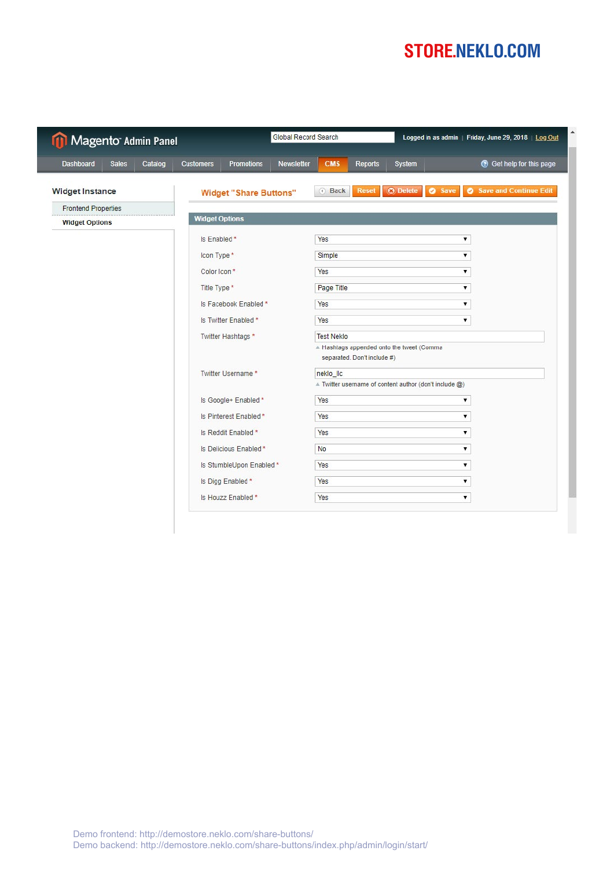| Magento Admin Panel                         |                                                     | <b>Global Record Search</b><br>Logged in as admin   Friday, June 29, 2018   Log Out |  |  |  |  |
|---------------------------------------------|-----------------------------------------------------|-------------------------------------------------------------------------------------|--|--|--|--|
| <b>Dashboard</b><br>Catalog<br><b>Sales</b> | <b>Promotions</b><br>Newsletter<br><b>Customers</b> | <b>8</b> Get help for this page<br><b>CMS</b><br><b>Reports</b><br>System           |  |  |  |  |
| <b>Widget Instance</b>                      | <b>Widget "Share Buttons"</b>                       | <b>O</b> Delete<br>Save and Continue Edit<br><b>O</b> Save<br>Back<br><b>Reset</b>  |  |  |  |  |
| <b>Frontend Properties</b>                  |                                                     |                                                                                     |  |  |  |  |
| <b>Widget Options</b>                       | <b>Widget Options</b>                               |                                                                                     |  |  |  |  |
|                                             | Is Enabled *                                        | Yes<br>۷                                                                            |  |  |  |  |
|                                             | Icon Type *                                         | Simple<br>۷                                                                         |  |  |  |  |
|                                             | Color Icon*                                         | Yes<br>۷.                                                                           |  |  |  |  |
|                                             | Title Type *                                        | Page Title<br>۷                                                                     |  |  |  |  |
|                                             | Is Facebook Enabled*                                | Yes<br>۷                                                                            |  |  |  |  |
|                                             | Is Twitter Enabled*                                 | Yes<br>۷                                                                            |  |  |  |  |
|                                             | Twitter Hashtags*                                   | <b>Test Neklo</b>                                                                   |  |  |  |  |
|                                             |                                                     | A Hashtags appended onto the tweet (Comma<br>separated. Don't include #)            |  |  |  |  |
|                                             | Twitter Username *                                  | neklo IIc                                                                           |  |  |  |  |
|                                             |                                                     | $\triangle$ Twitter username of content author (don't include $\textcircled{a}$ )   |  |  |  |  |
|                                             | Is Google+ Enabled *                                | Yes<br>۷                                                                            |  |  |  |  |
|                                             | Is Pinterest Enabled *                              | Yes<br>۷                                                                            |  |  |  |  |
|                                             | Is Reddit Enabled *                                 | Yes<br>۷.                                                                           |  |  |  |  |
|                                             | Is Delicious Enabled *                              | No<br>۷.                                                                            |  |  |  |  |
|                                             | Is StumbleUpon Enabled*                             | Yes<br>۷.                                                                           |  |  |  |  |
|                                             | Is Digg Enabled *                                   | Yes<br>۷.                                                                           |  |  |  |  |
|                                             | Is Houzz Enabled *                                  | Yes<br>▼                                                                            |  |  |  |  |

I